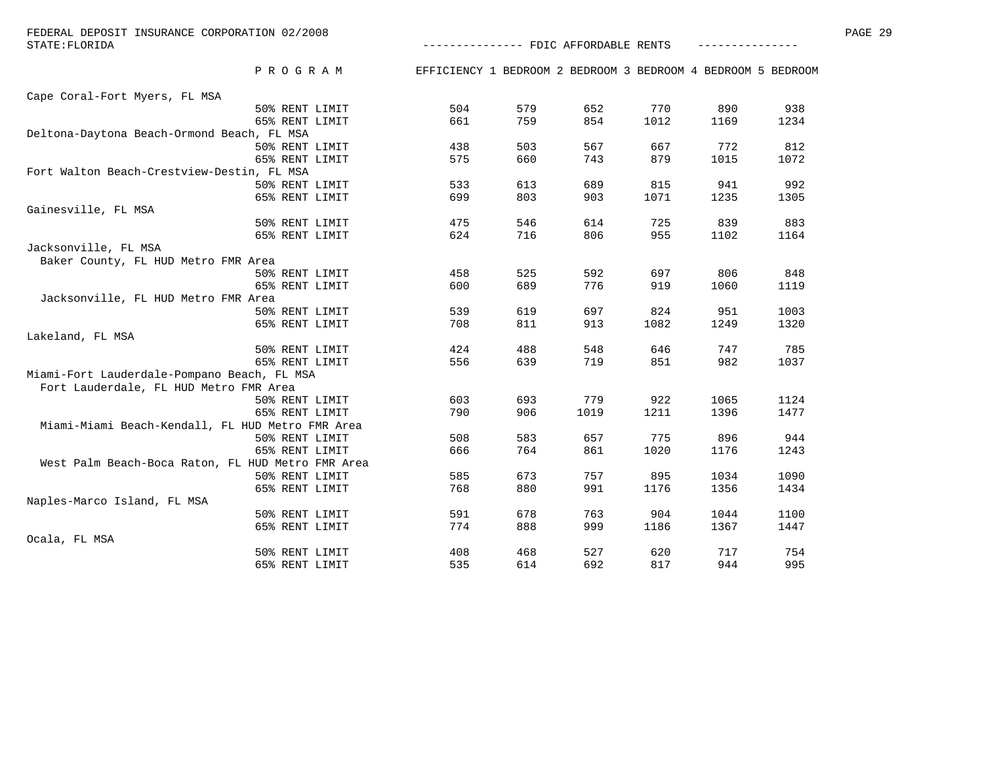| STATE: FLORIDA                                    |                |                                                              |     |      | -------------- FDIC AFFORDABLE RENTS |      |      |  |  |  |
|---------------------------------------------------|----------------|--------------------------------------------------------------|-----|------|--------------------------------------|------|------|--|--|--|
|                                                   | PROGRAM        | EFFICIENCY 1 BEDROOM 2 BEDROOM 3 BEDROOM 4 BEDROOM 5 BEDROOM |     |      |                                      |      |      |  |  |  |
| Cape Coral-Fort Myers, FL MSA                     |                |                                                              |     |      |                                      |      |      |  |  |  |
|                                                   | 50% RENT LIMIT | 504                                                          | 579 | 652  | 770                                  | 890  | 938  |  |  |  |
|                                                   | 65% RENT LIMIT | 661                                                          | 759 | 854  | 1012                                 | 1169 | 1234 |  |  |  |
| Deltona-Daytona Beach-Ormond Beach, FL MSA        |                |                                                              |     |      |                                      |      |      |  |  |  |
|                                                   | 50% RENT LIMIT | 438                                                          | 503 | 567  | 667                                  | 772  | 812  |  |  |  |
|                                                   | 65% RENT LIMIT | 575                                                          | 660 | 743  | 879                                  | 1015 | 1072 |  |  |  |
| Fort Walton Beach-Crestview-Destin, FL MSA        |                |                                                              |     |      |                                      |      |      |  |  |  |
|                                                   | 50% RENT LIMIT | 533                                                          | 613 | 689  | 815                                  | 941  | 992  |  |  |  |
|                                                   | 65% RENT LIMIT | 699                                                          | 803 | 903  | 1071                                 | 1235 | 1305 |  |  |  |
| Gainesville, FL MSA                               |                |                                                              |     |      |                                      |      |      |  |  |  |
|                                                   | 50% RENT LIMIT | 475                                                          | 546 | 614  | 725                                  | 839  | 883  |  |  |  |
|                                                   | 65% RENT LIMIT | 624                                                          | 716 | 806  | 955                                  | 1102 | 1164 |  |  |  |
| Jacksonville, FL MSA                              |                |                                                              |     |      |                                      |      |      |  |  |  |
| Baker County, FL HUD Metro FMR Area               |                |                                                              |     |      |                                      |      |      |  |  |  |
|                                                   | 50% RENT LIMIT | 458                                                          | 525 | 592  | 697                                  | 806  | 848  |  |  |  |
|                                                   | 65% RENT LIMIT | 600                                                          | 689 | 776  | 919                                  | 1060 | 1119 |  |  |  |
| Jacksonville, FL HUD Metro FMR Area               |                |                                                              |     |      |                                      |      |      |  |  |  |
|                                                   | 50% RENT LIMIT | 539                                                          | 619 | 697  | 824                                  | 951  | 1003 |  |  |  |
|                                                   | 65% RENT LIMIT | 708                                                          | 811 | 913  | 1082                                 | 1249 | 1320 |  |  |  |
| Lakeland, FL MSA                                  |                |                                                              |     |      |                                      |      |      |  |  |  |
|                                                   | 50% RENT LIMIT | 424                                                          | 488 | 548  | 646                                  | 747  | 785  |  |  |  |
|                                                   | 65% RENT LIMIT | 556                                                          | 639 | 719  | 851                                  | 982  | 1037 |  |  |  |
| Miami-Fort Lauderdale-Pompano Beach, FL MSA       |                |                                                              |     |      |                                      |      |      |  |  |  |
| Fort Lauderdale, FL HUD Metro FMR Area            |                |                                                              |     |      |                                      |      |      |  |  |  |
|                                                   | 50% RENT LIMIT | 603                                                          | 693 | 779  | 922                                  | 1065 | 1124 |  |  |  |
|                                                   | 65% RENT LIMIT | 790                                                          | 906 | 1019 | 1211                                 | 1396 | 1477 |  |  |  |
| Miami-Miami Beach-Kendall, FL HUD Metro FMR Area  |                |                                                              |     |      |                                      |      |      |  |  |  |
|                                                   | 50% RENT LIMIT | 508                                                          | 583 | 657  | 775                                  | 896  | 944  |  |  |  |
|                                                   | 65% RENT LIMIT | 666                                                          | 764 | 861  | 1020                                 | 1176 | 1243 |  |  |  |
| West Palm Beach-Boca Raton, FL HUD Metro FMR Area |                |                                                              |     |      |                                      |      |      |  |  |  |
|                                                   | 50% RENT LIMIT | 585                                                          | 673 | 757  | 895                                  | 1034 | 1090 |  |  |  |
|                                                   | 65% RENT LIMIT | 768                                                          | 880 | 991  | 1176                                 | 1356 | 1434 |  |  |  |
| Naples-Marco Island, FL MSA                       |                |                                                              |     |      |                                      |      |      |  |  |  |
|                                                   | 50% RENT LIMIT | 591                                                          | 678 | 763  | 904                                  | 1044 | 1100 |  |  |  |
|                                                   | 65% RENT LIMIT | 774                                                          | 888 | 999  | 1186                                 | 1367 | 1447 |  |  |  |
| Ocala, FL MSA                                     |                |                                                              |     |      |                                      |      |      |  |  |  |
|                                                   | 50% RENT LIMIT | 408                                                          | 468 | 527  | 620                                  | 717  | 754  |  |  |  |
|                                                   | 65% RENT LIMIT | 535                                                          | 614 | 692  | 817                                  | 944  | 995  |  |  |  |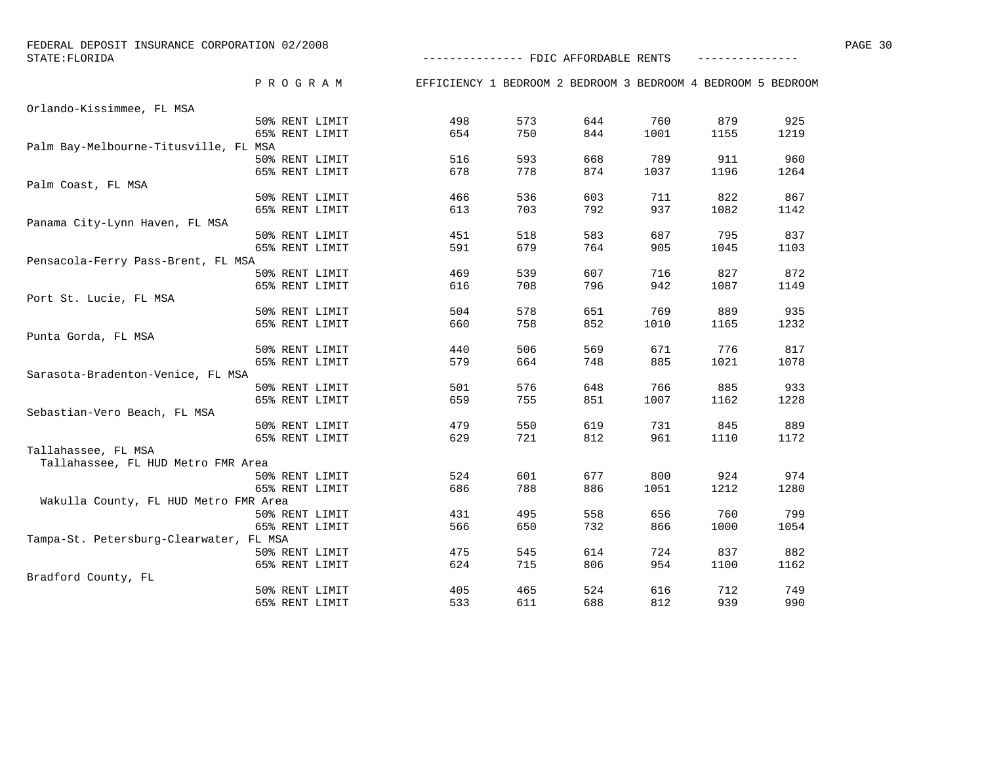| FEDERAL DEPOSIT INSURANCE CORPORATION 02/2008 |                                      | PAGE 30         |
|-----------------------------------------------|--------------------------------------|-----------------|
| STATE: FLORIDA                                | -------------- FDIC AFFORDABLE RENTS | _______________ |

|                                         | PROGRAM        | EFFICIENCY 1 BEDROOM 2 BEDROOM 3 BEDROOM 4 BEDROOM 5 BEDROOM |     |     |      |      |      |
|-----------------------------------------|----------------|--------------------------------------------------------------|-----|-----|------|------|------|
| Orlando-Kissimmee, FL MSA               |                |                                                              |     |     |      |      |      |
|                                         | 50% RENT LIMIT | 498                                                          | 573 | 644 | 760  | 879  | 925  |
|                                         | 65% RENT LIMIT | 654                                                          | 750 | 844 | 1001 | 1155 | 1219 |
| Palm Bay-Melbourne-Titusville, FL MSA   |                |                                                              |     |     |      |      |      |
|                                         | 50% RENT LIMIT | 516                                                          | 593 | 668 | 789  | 911  | 960  |
|                                         | 65% RENT LIMIT | 678                                                          | 778 | 874 | 1037 | 1196 | 1264 |
| Palm Coast, FL MSA                      |                |                                                              |     |     |      |      |      |
|                                         | 50% RENT LIMIT | 466                                                          | 536 | 603 | 711  | 822  | 867  |
|                                         | 65% RENT LIMIT | 613                                                          | 703 | 792 | 937  | 1082 | 1142 |
| Panama City-Lynn Haven, FL MSA          |                |                                                              |     |     |      |      |      |
|                                         | 50% RENT LIMIT | 451                                                          | 518 | 583 | 687  | 795  | 837  |
|                                         | 65% RENT LIMIT | 591                                                          | 679 | 764 | 905  | 1045 | 1103 |
| Pensacola-Ferry Pass-Brent, FL MSA      |                |                                                              |     |     |      |      |      |
|                                         | 50% RENT LIMIT | 469                                                          | 539 | 607 | 716  | 827  | 872  |
|                                         | 65% RENT LIMIT | 616                                                          | 708 | 796 | 942  | 1087 | 1149 |
| Port St. Lucie, FL MSA                  |                |                                                              |     |     |      |      |      |
|                                         | 50% RENT LIMIT | 504                                                          | 578 | 651 | 769  | 889  | 935  |
|                                         | 65% RENT LIMIT | 660                                                          | 758 | 852 | 1010 | 1165 | 1232 |
| Punta Gorda, FL MSA                     |                |                                                              |     |     |      |      |      |
|                                         | 50% RENT LIMIT | 440                                                          | 506 | 569 | 671  | 776  | 817  |
|                                         | 65% RENT LIMIT | 579                                                          | 664 | 748 | 885  | 1021 | 1078 |
| Sarasota-Bradenton-Venice, FL MSA       |                |                                                              |     |     |      |      |      |
|                                         | 50% RENT LIMIT | 501                                                          | 576 | 648 | 766  | 885  | 933  |
|                                         | 65% RENT LIMIT | 659                                                          | 755 | 851 | 1007 | 1162 | 1228 |
| Sebastian-Vero Beach, FL MSA            |                |                                                              |     |     |      |      |      |
|                                         | 50% RENT LIMIT | 479                                                          | 550 | 619 | 731  | 845  | 889  |
|                                         | 65% RENT LIMIT | 629                                                          | 721 | 812 | 961  | 1110 | 1172 |
| Tallahassee, FL MSA                     |                |                                                              |     |     |      |      |      |
| Tallahassee, FL HUD Metro FMR Area      |                |                                                              |     |     |      |      |      |
|                                         | 50% RENT LIMIT | 524                                                          | 601 | 677 | 800  | 924  | 974  |
|                                         | 65% RENT LIMIT | 686                                                          | 788 | 886 | 1051 | 1212 | 1280 |
| Wakulla County, FL HUD Metro FMR Area   |                |                                                              |     |     |      |      |      |
|                                         | 50% RENT LIMIT | 431                                                          | 495 | 558 | 656  | 760  | 799  |
|                                         | 65% RENT LIMIT | 566                                                          | 650 | 732 | 866  | 1000 | 1054 |
| Tampa-St. Petersburg-Clearwater, FL MSA |                |                                                              |     |     |      |      |      |
|                                         | 50% RENT LIMIT | 475                                                          | 545 | 614 | 724  | 837  | 882  |
|                                         | 65% RENT LIMIT | 624                                                          | 715 | 806 | 954  | 1100 | 1162 |
| Bradford County, FL                     |                |                                                              |     |     |      |      |      |
|                                         | 50% RENT LIMIT | 405                                                          | 465 | 524 | 616  | 712  | 749  |

65% RENT LIMIT 65% RENT LIMIT 633 611 688 812 939

990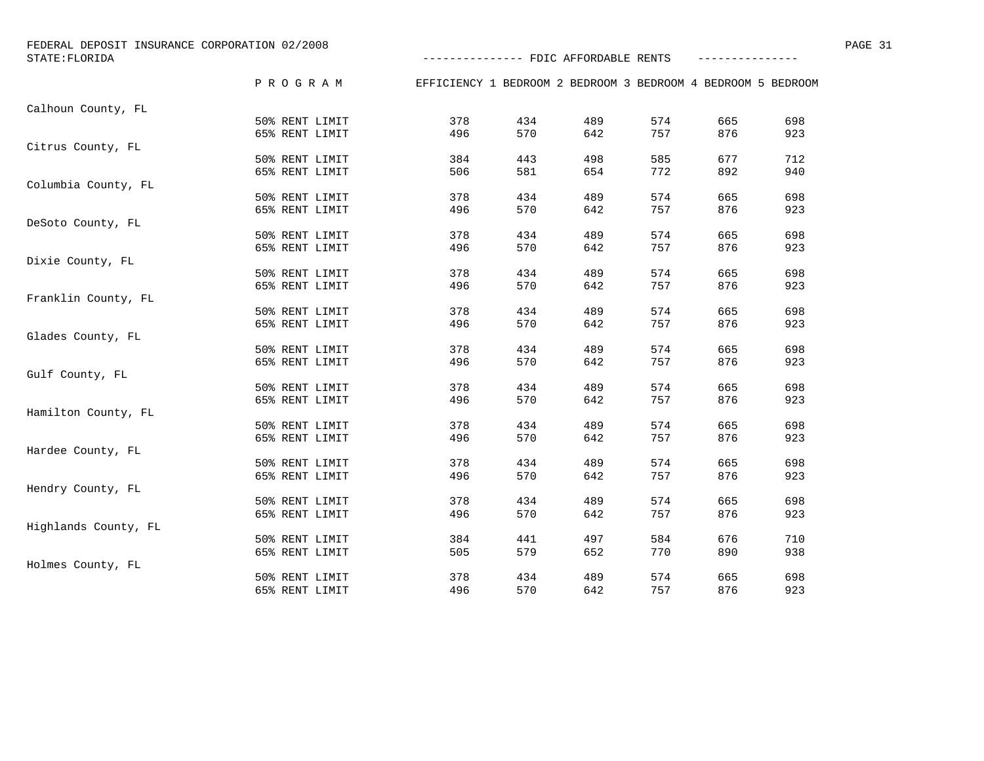| FEDERAL DEPOSIT INSURANCE CORPORATION 02/2008<br>STATE: FLORIDA |                |                                                              |     | -------------- FDIC AFFORDABLE RENTS |     |     |     | PAGE 31 |
|-----------------------------------------------------------------|----------------|--------------------------------------------------------------|-----|--------------------------------------|-----|-----|-----|---------|
|                                                                 | PROGRAM        | EFFICIENCY 1 BEDROOM 2 BEDROOM 3 BEDROOM 4 BEDROOM 5 BEDROOM |     |                                      |     |     |     |         |
| Calhoun County, FL                                              |                |                                                              |     |                                      |     |     |     |         |
|                                                                 | 50% RENT LIMIT | 378                                                          | 434 | 489                                  | 574 | 665 | 698 |         |
|                                                                 | 65% RENT LIMIT | 496                                                          | 570 | 642                                  | 757 | 876 | 923 |         |
| Citrus County, FL                                               |                |                                                              |     |                                      |     |     |     |         |
|                                                                 | 50% RENT LIMIT | 384                                                          | 443 | 498                                  | 585 | 677 | 712 |         |
|                                                                 | 65% RENT LIMIT | 506                                                          | 581 | 654                                  | 772 | 892 | 940 |         |
| Columbia County, FL                                             |                |                                                              |     |                                      |     |     |     |         |
|                                                                 | 50% RENT LIMIT | 378                                                          | 434 | 489                                  | 574 | 665 | 698 |         |
|                                                                 | 65% RENT LIMIT | 496                                                          | 570 | 642                                  | 757 | 876 | 923 |         |
| DeSoto County, FL                                               |                |                                                              |     |                                      |     |     |     |         |
|                                                                 | 50% RENT LIMIT | 378                                                          | 434 | 489                                  | 574 | 665 | 698 |         |
|                                                                 | 65% RENT LIMIT | 496                                                          | 570 | 642                                  | 757 | 876 | 923 |         |
| Dixie County, FL                                                |                |                                                              |     |                                      |     |     |     |         |
|                                                                 | 50% RENT LIMIT | 378                                                          | 434 | 489                                  | 574 | 665 | 698 |         |
|                                                                 | 65% RENT LIMIT | 496                                                          | 570 | 642                                  | 757 | 876 | 923 |         |
| Franklin County, FL                                             |                |                                                              |     |                                      |     |     |     |         |
|                                                                 | 50% RENT LIMIT | 378                                                          | 434 | 489                                  | 574 | 665 | 698 |         |
|                                                                 | 65% RENT LIMIT | 496                                                          | 570 | 642                                  | 757 | 876 | 923 |         |
| Glades County, FL                                               |                |                                                              |     |                                      |     |     |     |         |
|                                                                 | 50% RENT LIMIT | 378                                                          | 434 | 489                                  | 574 | 665 | 698 |         |
|                                                                 | 65% RENT LIMIT | 496                                                          | 570 | 642                                  | 757 | 876 | 923 |         |
| Gulf County, FL                                                 |                |                                                              |     |                                      |     |     |     |         |
|                                                                 | 50% RENT LIMIT | 378                                                          | 434 | 489                                  | 574 | 665 | 698 |         |
|                                                                 | 65% RENT LIMIT | 496                                                          | 570 | 642                                  | 757 | 876 | 923 |         |
| Hamilton County, FL                                             |                |                                                              |     |                                      |     |     |     |         |
|                                                                 | 50% RENT LIMIT | 378                                                          | 434 | 489                                  | 574 | 665 | 698 |         |
|                                                                 | 65% RENT LIMIT | 496                                                          | 570 | 642                                  | 757 | 876 | 923 |         |
| Hardee County, FL                                               |                |                                                              |     |                                      |     |     |     |         |
|                                                                 | 50% RENT LIMIT | 378                                                          | 434 | 489                                  | 574 | 665 | 698 |         |
|                                                                 | 65% RENT LIMIT | 496                                                          | 570 | 642                                  | 757 | 876 | 923 |         |
| Hendry County, FL                                               |                |                                                              |     |                                      |     |     |     |         |
|                                                                 | 50% RENT LIMIT | 378                                                          | 434 | 489                                  | 574 | 665 | 698 |         |
|                                                                 | 65% RENT LIMIT | 496                                                          | 570 | 642                                  | 757 | 876 | 923 |         |
| Highlands County, FL                                            |                |                                                              |     |                                      |     |     |     |         |
|                                                                 | 50% RENT LIMIT | 384                                                          | 441 | 497                                  | 584 | 676 | 710 |         |
|                                                                 | 65% RENT LIMIT | 505                                                          | 579 | 652                                  | 770 | 890 | 938 |         |
| Holmes County, FL                                               |                |                                                              |     |                                      |     |     |     |         |
|                                                                 | 50% RENT LIMIT | 378                                                          | 434 | 489                                  | 574 | 665 | 698 |         |
|                                                                 | 65% RENT LIMIT | 496                                                          | 570 | 642                                  | 757 | 876 | 923 |         |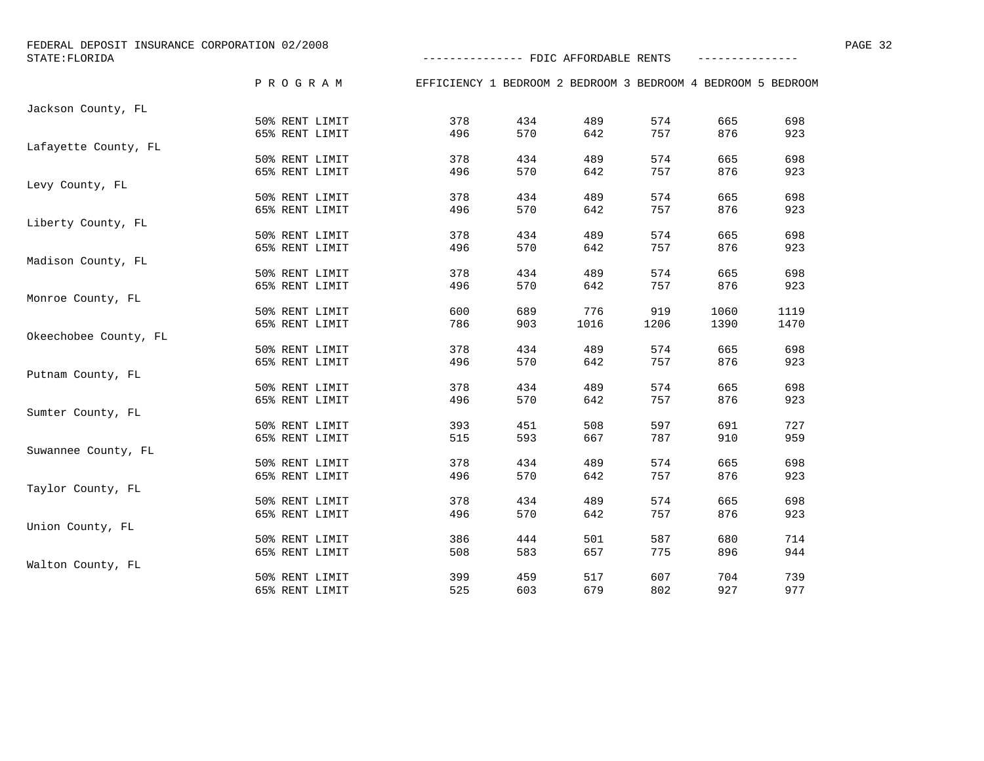| STATE: FLORIDA        | FEDERAL DEPOSIT INSURANCE CORPORATION 02/2008 | -------------- FDIC AFFORDABLE RENTS                         |     |      |      |      |      | PAGE 32 |
|-----------------------|-----------------------------------------------|--------------------------------------------------------------|-----|------|------|------|------|---------|
|                       | PROGRAM                                       | EFFICIENCY 1 BEDROOM 2 BEDROOM 3 BEDROOM 4 BEDROOM 5 BEDROOM |     |      |      |      |      |         |
| Jackson County, FL    |                                               |                                                              |     |      |      |      |      |         |
|                       | 50% RENT LIMIT                                | 378                                                          | 434 | 489  | 574  | 665  | 698  |         |
|                       | 65% RENT LIMIT                                | 496                                                          | 570 | 642  | 757  | 876  | 923  |         |
| Lafayette County, FL  |                                               |                                                              |     |      |      |      |      |         |
|                       | 50% RENT LIMIT                                | 378                                                          | 434 | 489  | 574  | 665  | 698  |         |
|                       | 65% RENT LIMIT                                | 496                                                          | 570 | 642  | 757  | 876  | 923  |         |
| Levy County, FL       |                                               |                                                              |     |      |      |      |      |         |
|                       | 50% RENT LIMIT                                | 378                                                          | 434 | 489  | 574  | 665  | 698  |         |
|                       | 65% RENT LIMIT                                | 496                                                          | 570 | 642  | 757  | 876  | 923  |         |
| Liberty County, FL    |                                               |                                                              |     |      |      |      |      |         |
|                       | 50% RENT LIMIT                                | 378                                                          | 434 | 489  | 574  | 665  | 698  |         |
|                       | 65% RENT LIMIT                                | 496                                                          | 570 | 642  | 757  | 876  | 923  |         |
| Madison County, FL    |                                               |                                                              |     |      |      |      |      |         |
|                       | 50% RENT LIMIT                                | 378                                                          | 434 | 489  | 574  | 665  | 698  |         |
|                       | 65% RENT LIMIT                                | 496                                                          | 570 | 642  | 757  | 876  | 923  |         |
| Monroe County, FL     |                                               |                                                              |     |      |      |      |      |         |
|                       | 50% RENT LIMIT                                | 600                                                          | 689 | 776  | 919  | 1060 | 1119 |         |
|                       | 65% RENT LIMIT                                | 786                                                          | 903 | 1016 | 1206 | 1390 | 1470 |         |
| Okeechobee County, FL |                                               |                                                              |     |      |      |      |      |         |
|                       | 50% RENT LIMIT                                | 378                                                          | 434 | 489  | 574  | 665  | 698  |         |
|                       | 65% RENT LIMIT                                | 496                                                          | 570 | 642  | 757  | 876  | 923  |         |
| Putnam County, FL     |                                               |                                                              |     |      |      |      |      |         |
|                       | 50% RENT LIMIT                                | 378                                                          | 434 | 489  | 574  | 665  | 698  |         |
|                       | 65% RENT LIMIT                                | 496                                                          | 570 | 642  | 757  | 876  | 923  |         |
| Sumter County, FL     |                                               |                                                              |     |      |      |      |      |         |
|                       | 50% RENT LIMIT                                | 393                                                          | 451 | 508  | 597  | 691  | 727  |         |
|                       | 65% RENT LIMIT                                | 515                                                          | 593 | 667  | 787  | 910  | 959  |         |
| Suwannee County, FL   |                                               |                                                              |     |      |      |      |      |         |
|                       | 50% RENT LIMIT                                | 378                                                          | 434 | 489  | 574  | 665  | 698  |         |
|                       | 65% RENT LIMIT                                | 496                                                          | 570 | 642  | 757  | 876  | 923  |         |
| Taylor County, FL     |                                               |                                                              |     |      |      |      |      |         |
|                       | 50% RENT LIMIT                                | 378                                                          | 434 | 489  | 574  | 665  | 698  |         |
|                       | 65% RENT LIMIT                                | 496                                                          | 570 | 642  | 757  | 876  | 923  |         |
| Union County, FL      |                                               |                                                              |     |      |      |      |      |         |
|                       | 50% RENT LIMIT                                | 386                                                          | 444 | 501  | 587  | 680  | 714  |         |
|                       | 65% RENT LIMIT                                | 508                                                          | 583 | 657  | 775  | 896  | 944  |         |
| Walton County, FL     |                                               |                                                              |     |      |      |      |      |         |
|                       | 50% RENT LIMIT                                | 399                                                          | 459 | 517  | 607  | 704  | 739  |         |
|                       | 65% RENT LIMIT                                | 525                                                          | 603 | 679  | 802  | 927  | 977  |         |